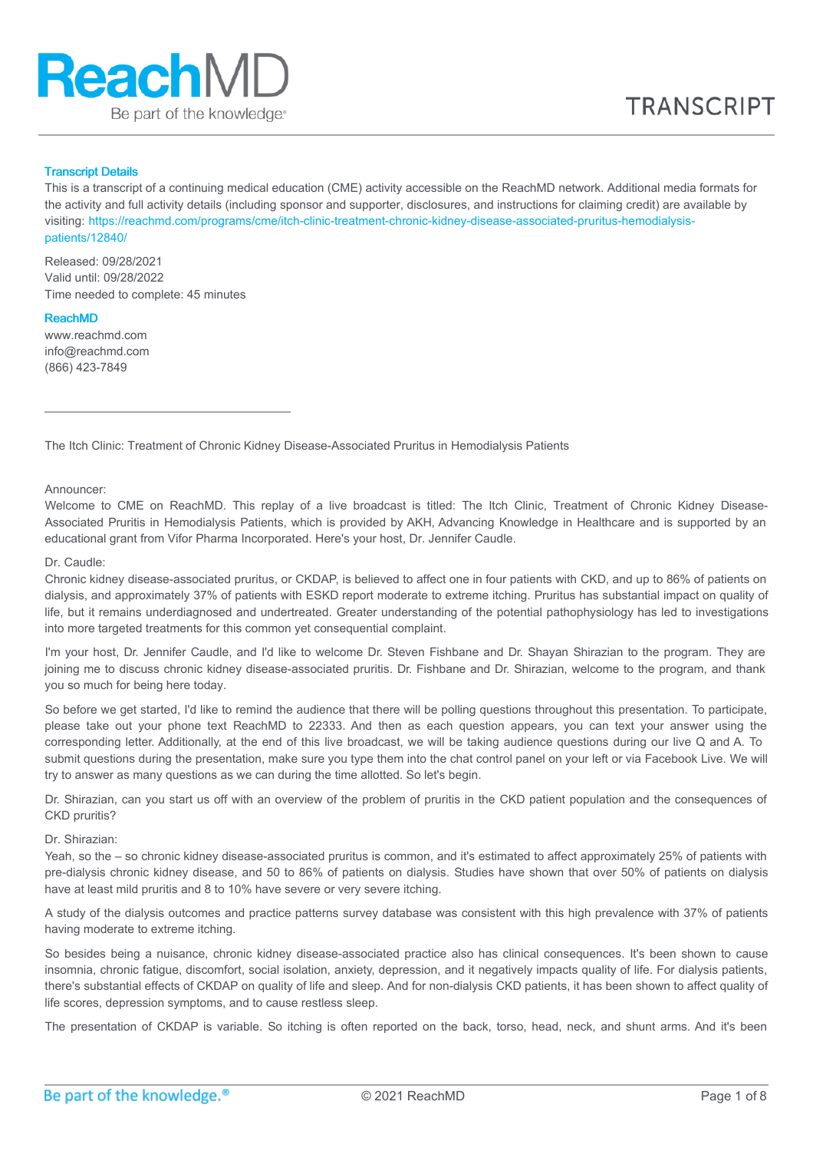

# Transcript Details

This is a transcript of a continuing medical education (CME) activity accessible on the ReachMD network. Additional media formats for the activity and full activity details (including sponsor and supporter, disclosures, and instructions for claiming credit) are available by visiting: [https://reachmd.com/programs/cme/itch-clinic-treatment-chronic-kidney-disease-associated-pruritus-hemodialysis](https://reachmd.com/programs/cme/itch-clinic-treatment-chronic-kidney-disease-associated-pruritus-hemodialysis-patients/12840/)patients/12840/

Released: 09/28/2021 Valid until: 09/28/2022 Time needed to complete: 45 minutes

#### ReachMD

www.reachmd.com info@reachmd.com (866) 423-7849

The Itch Clinic: Treatment of Chronic Kidney Disease-Associated Pruritus in Hemodialysis Patients

Announcer:

Welcome to CME on ReachMD. This replay of a live broadcast is titled: The Itch Clinic, Treatment of Chronic Kidney Disease-Associated Pruritis in Hemodialysis Patients, which is provided by AKH, Advancing Knowledge in Healthcare and is supported by an educational grant from Vifor Pharma Incorporated. Here's your host, Dr. Jennifer Caudle.

#### Dr. Caudle:

Chronic kidney disease-associated pruritus, or CKDAP, is believed to affect one in four patients with CKD, and up to 86% of patients on dialysis, and approximately 37% of patients with ESKD report moderate to extreme itching. Pruritus has substantial impact on quality of life, but it remains underdiagnosed and undertreated. Greater understanding of the potential pathophysiology has led to investigations into more targeted treatments for this common yet consequential complaint.

I'm your host, Dr. Jennifer Caudle, and I'd like to welcome Dr. Steven Fishbane and Dr. Shayan Shirazian to the program. They are joining me to discuss chronic kidney disease-associated pruritis. Dr. Fishbane and Dr. Shirazian, welcome to the program, and thank you so much for being here today.

So before we get started, I'd like to remind the audience that there will be polling questions throughout this presentation. To participate, please take out your phone text ReachMD to 22333. And then as each question appears, you can text your answer using the corresponding letter. Additionally, at the end of this live broadcast, we will be taking audience questions during our live Q and A. To submit questions during the presentation, make sure you type them into the chat control panel on your left or via Facebook Live. We will try to answer as many questions as we can during the time allotted. So let's begin.

Dr. Shirazian, can you start us off with an overview of the problem of pruritis in the CKD patient population and the consequences of CKD pruritis?

Dr. Shirazian:

Yeah, so the – so chronic kidney disease-associated pruritus is common, and it's estimated to affect approximately 25% of patients with pre-dialysis chronic kidney disease, and 50 to 86% of patients on dialysis. Studies have shown that over 50% of patients on dialysis have at least mild pruritis and 8 to 10% have severe or very severe itching.

A study of the dialysis outcomes and practice patterns survey database was consistent with this high prevalence with 37% of patients having moderate to extreme itching.

So besides being a nuisance, chronic kidney disease-associated practice also has clinical consequences. It's been shown to cause insomnia, chronic fatigue, discomfort, social isolation, anxiety, depression, and it negatively impacts quality of life. For dialysis patients, there's substantial effects of CKDAP on quality of life and sleep. And for non-dialysis CKD patients, it has been shown to affect quality of life scores, depression symptoms, and to cause restless sleep.

The presentation of CKDAP is variable. So itching is often reported on the back, torso, head, neck, and shunt arms. And it's been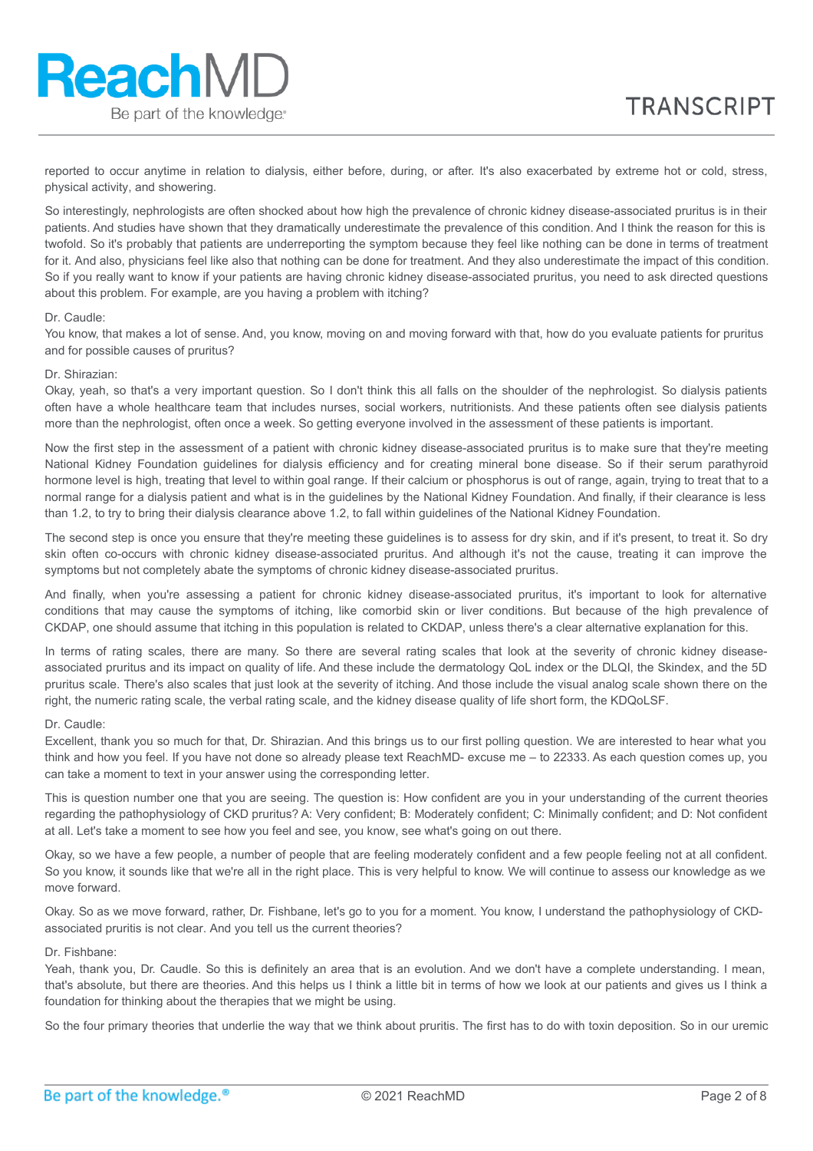reported to occur anytime in relation to dialysis, either before, during, or after. It's also exacerbated by extreme hot or cold, stress, physical activity, and showering.

So interestingly, nephrologists are often shocked about how high the prevalence of chronic kidney disease-associated pruritus is in their patients. And studies have shown that they dramatically underestimate the prevalence of this condition. And I think the reason for this is twofold. So it's probably that patients are underreporting the symptom because they feel like nothing can be done in terms of treatment for it. And also, physicians feel like also that nothing can be done for treatment. And they also underestimate the impact of this condition. So if you really want to know if your patients are having chronic kidney disease-associated pruritus, you need to ask directed questions about this problem. For example, are you having a problem with itching?

#### Dr. Caudle:

**ReachMD** 

Be part of the knowledge.

You know, that makes a lot of sense. And, you know, moving on and moving forward with that, how do you evaluate patients for pruritus and for possible causes of pruritus?

#### Dr. Shirazian:

Okay, yeah, so that's a very important question. So I don't think this all falls on the shoulder of the nephrologist. So dialysis patients often have a whole healthcare team that includes nurses, social workers, nutritionists. And these patients often see dialysis patients more than the nephrologist, often once a week. So getting everyone involved in the assessment of these patients is important.

Now the first step in the assessment of a patient with chronic kidney disease-associated pruritus is to make sure that they're meeting National Kidney Foundation guidelines for dialysis efficiency and for creating mineral bone disease. So if their serum parathyroid hormone level is high, treating that level to within goal range. If their calcium or phosphorus is out of range, again, trying to treat that to a normal range for a dialysis patient and what is in the guidelines by the National Kidney Foundation. And finally, if their clearance is less than 1.2, to try to bring their dialysis clearance above 1.2, to fall within guidelines of the National Kidney Foundation.

The second step is once you ensure that they're meeting these guidelines is to assess for dry skin, and if it's present, to treat it. So dry skin often co-occurs with chronic kidney disease-associated pruritus. And although it's not the cause, treating it can improve the symptoms but not completely abate the symptoms of chronic kidney disease-associated pruritus.

And finally, when you're assessing a patient for chronic kidney disease-associated pruritus, it's important to look for alternative conditions that may cause the symptoms of itching, like comorbid skin or liver conditions. But because of the high prevalence of CKDAP, one should assume that itching in this population is related to CKDAP, unless there's a clear alternative explanation for this.

In terms of rating scales, there are many. So there are several rating scales that look at the severity of chronic kidney diseaseassociated pruritus and its impact on quality of life. And these include the dermatology QoL index or the DLQI, the Skindex, and the 5D pruritus scale. There's also scales that just look at the severity of itching. And those include the visual analog scale shown there on the right, the numeric rating scale, the verbal rating scale, and the kidney disease quality of life short form, the KDQoLSF.

#### Dr. Caudle:

Excellent, thank you so much for that, Dr. Shirazian. And this brings us to our first polling question. We are interested to hear what you think and how you feel. If you have not done so already please text ReachMD- excuse me – to 22333. As each question comes up, you can take a moment to text in your answer using the corresponding letter.

This is question number one that you are seeing. The question is: How confident are you in your understanding of the current theories regarding the pathophysiology of CKD pruritus? A: Very confident; B: Moderately confident; C: Minimally confident; and D: Not confident at all. Let's take a moment to see how you feel and see, you know, see what's going on out there.

Okay, so we have a few people, a number of people that are feeling moderately confident and a few people feeling not at all confident. So you know, it sounds like that we're all in the right place. This is very helpful to know. We will continue to assess our knowledge as we move forward.

Okay. So as we move forward, rather, Dr. Fishbane, let's go to you for a moment. You know, I understand the pathophysiology of CKDassociated pruritis is not clear. And you tell us the current theories?

#### Dr. Fishbane:

Yeah, thank you, Dr. Caudle. So this is definitely an area that is an evolution. And we don't have a complete understanding. I mean, that's absolute, but there are theories. And this helps us I think a little bit in terms of how we look at our patients and gives us I think a foundation for thinking about the therapies that we might be using.

So the four primary theories that underlie the way that we think about pruritis. The first has to do with toxin deposition. So in our uremic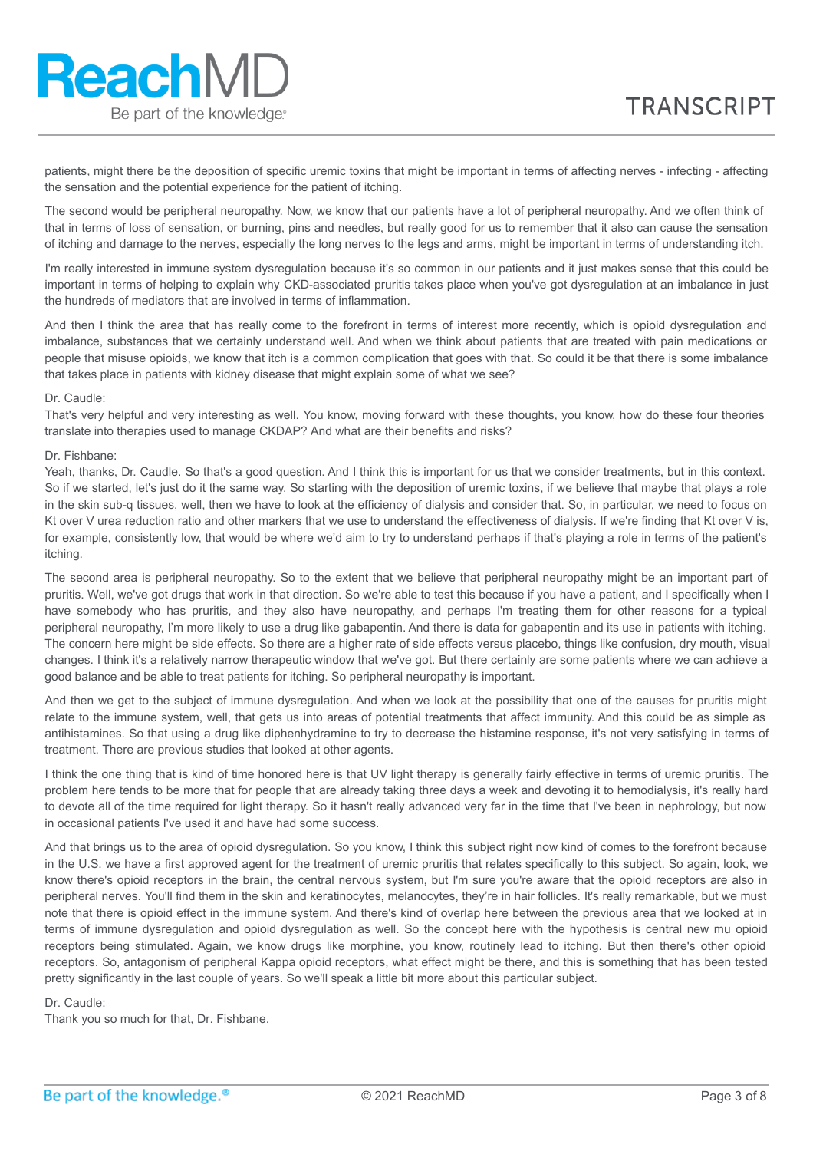patients, might there be the deposition of specific uremic toxins that might be important in terms of affecting nerves - infecting - affecting the sensation and the potential experience for the patient of itching.

The second would be peripheral neuropathy. Now, we know that our patients have a lot of peripheral neuropathy. And we often think of that in terms of loss of sensation, or burning, pins and needles, but really good for us to remember that it also can cause the sensation of itching and damage to the nerves, especially the long nerves to the legs and arms, might be important in terms of understanding itch.

I'm really interested in immune system dysregulation because it's so common in our patients and it just makes sense that this could be important in terms of helping to explain why CKD-associated pruritis takes place when you've got dysregulation at an imbalance in just the hundreds of mediators that are involved in terms of inflammation.

And then I think the area that has really come to the forefront in terms of interest more recently, which is opioid dysregulation and imbalance, substances that we certainly understand well. And when we think about patients that are treated with pain medications or people that misuse opioids, we know that itch is a common complication that goes with that. So could it be that there is some imbalance that takes place in patients with kidney disease that might explain some of what we see?

### Dr. Caudle:

**ReachMD** 

Be part of the knowledge.

That's very helpful and very interesting as well. You know, moving forward with these thoughts, you know, how do these four theories translate into therapies used to manage CKDAP? And what are their benefits and risks?

### Dr. Fishbane:

Yeah, thanks, Dr. Caudle. So that's a good question. And I think this is important for us that we consider treatments, but in this context. So if we started, let's just do it the same way. So starting with the deposition of uremic toxins, if we believe that maybe that plays a role in the skin sub-q tissues, well, then we have to look at the efficiency of dialysis and consider that. So, in particular, we need to focus on Kt over V urea reduction ratio and other markers that we use to understand the effectiveness of dialysis. If we're finding that Kt over V is, for example, consistently low, that would be where we'd aim to try to understand perhaps if that's playing a role in terms of the patient's itching.

The second area is peripheral neuropathy. So to the extent that we believe that peripheral neuropathy might be an important part of pruritis. Well, we've got drugs that work in that direction. So we're able to test this because if you have a patient, and I specifically when I have somebody who has pruritis, and they also have neuropathy, and perhaps I'm treating them for other reasons for a typical peripheral neuropathy, I'm more likely to use a drug like gabapentin. And there is data for gabapentin and its use in patients with itching. The concern here might be side effects. So there are a higher rate of side effects versus placebo, things like confusion, dry mouth, visual changes. I think it's a relatively narrow therapeutic window that we've got. But there certainly are some patients where we can achieve a good balance and be able to treat patients for itching. So peripheral neuropathy is important.

And then we get to the subject of immune dysregulation. And when we look at the possibility that one of the causes for pruritis might relate to the immune system, well, that gets us into areas of potential treatments that affect immunity. And this could be as simple as antihistamines. So that using a drug like diphenhydramine to try to decrease the histamine response, it's not very satisfying in terms of treatment. There are previous studies that looked at other agents.

I think the one thing that is kind of time honored here is that UV light therapy is generally fairly effective in terms of uremic pruritis. The problem here tends to be more that for people that are already taking three days a week and devoting it to hemodialysis, it's really hard to devote all of the time required for light therapy. So it hasn't really advanced very far in the time that I've been in nephrology, but now in occasional patients I've used it and have had some success.

And that brings us to the area of opioid dysregulation. So you know, I think this subject right now kind of comes to the forefront because in the U.S. we have a first approved agent for the treatment of uremic pruritis that relates specifically to this subject. So again, look, we know there's opioid receptors in the brain, the central nervous system, but I'm sure you're aware that the opioid receptors are also in peripheral nerves. You'll find them in the skin and keratinocytes, melanocytes, they're in hair follicles. It's really remarkable, but we must note that there is opioid effect in the immune system. And there's kind of overlap here between the previous area that we looked at in terms of immune dysregulation and opioid dysregulation as well. So the concept here with the hypothesis is central new mu opioid receptors being stimulated. Again, we know drugs like morphine, you know, routinely lead to itching. But then there's other opioid receptors. So, antagonism of peripheral Kappa opioid receptors, what effect might be there, and this is something that has been tested pretty significantly in the last couple of years. So we'll speak a little bit more about this particular subject.

### Dr. Caudle:

Thank you so much for that, Dr. Fishbane.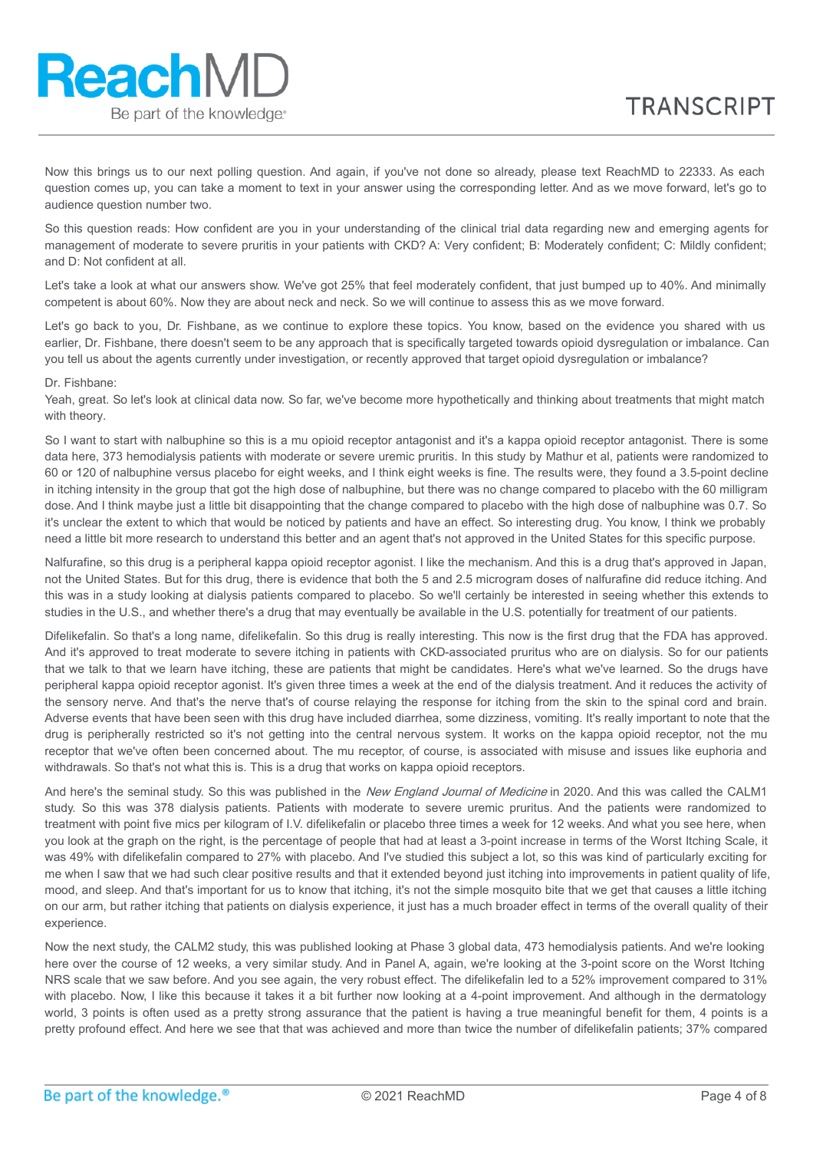Now this brings us to our next polling question. And again, if you've not done so already, please text ReachMD to 22333. As each question comes up, you can take a moment to text in your answer using the corresponding letter. And as we move forward, let's go to audience question number two.

So this question reads: How confident are you in your understanding of the clinical trial data regarding new and emerging agents for management of moderate to severe pruritis in your patients with CKD? A: Very confident; B: Moderately confident; C: Mildly confident; and D: Not confident at all.

Let's take a look at what our answers show. We've got 25% that feel moderately confident, that just bumped up to 40%. And minimally competent is about 60%. Now they are about neck and neck. So we will continue to assess this as we move forward.

Let's go back to you. Dr. Fishbane, as we continue to explore these topics. You know, based on the evidence you shared with us earlier, Dr. Fishbane, there doesn't seem to be any approach that is specifically targeted towards opioid dysregulation or imbalance. Can you tell us about the agents currently under investigation, or recently approved that target opioid dysregulation or imbalance?

# Dr. Fishbane:

Yeah, great. So let's look at clinical data now. So far, we've become more hypothetically and thinking about treatments that might match with theory.

So I want to start with nalbuphine so this is a mu opioid receptor antagonist and it's a kappa opioid receptor antagonist. There is some data here, 373 hemodialysis patients with moderate or severe uremic pruritis. In this study by Mathur et al, patients were randomized to 60 or 120 of nalbuphine versus placebo for eight weeks, and I think eight weeks is fine. The results were, they found a 3.5-point decline in itching intensity in the group that got the high dose of nalbuphine, but there was no change compared to placebo with the 60 milligram dose. And I think maybe just a little bit disappointing that the change compared to placebo with the high dose of nalbuphine was 0.7. So it's unclear the extent to which that would be noticed by patients and have an effect. So interesting drug. You know, I think we probably need a little bit more research to understand this better and an agent that's not approved in the United States for this specific purpose.

Nalfurafine, so this drug is a peripheral kappa opioid receptor agonist. I like the mechanism. And this is a drug that's approved in Japan, not the United States. But for this drug, there is evidence that both the 5 and 2.5 microgram doses of nalfurafine did reduce itching. And this was in a study looking at dialysis patients compared to placebo. So we'll certainly be interested in seeing whether this extends to studies in the U.S., and whether there's a drug that may eventually be available in the U.S. potentially for treatment of our patients.

Difelikefalin. So that's a long name, difelikefalin. So this drug is really interesting. This now is the first drug that the FDA has approved. And it's approved to treat moderate to severe itching in patients with CKD-associated pruritus who are on dialysis. So for our patients that we talk to that we learn have itching, these are patients that might be candidates. Here's what we've learned. So the drugs have peripheral kappa opioid receptor agonist. It's given three times a week at the end of the dialysis treatment. And it reduces the activity of the sensory nerve. And that's the nerve that's of course relaying the response for itching from the skin to the spinal cord and brain. Adverse events that have been seen with this drug have included diarrhea, some dizziness, vomiting. It's really important to note that the drug is peripherally restricted so it's not getting into the central nervous system. It works on the kappa opioid receptor, not the mu receptor that we've often been concerned about. The mu receptor, of course, is associated with misuse and issues like euphoria and withdrawals. So that's not what this is. This is a drug that works on kappa opioid receptors.

And here's the seminal study. So this was published in the New England Journal of Medicine in 2020. And this was called the CALM1 study. So this was 378 dialysis patients. Patients with moderate to severe uremic pruritus. And the patients were randomized to treatment with point five mics per kilogram of I.V. difelikefalin or placebo three times a week for 12 weeks. And what you see here, when you look at the graph on the right, is the percentage of people that had at least a 3-point increase in terms of the Worst Itching Scale, it was 49% with difelikefalin compared to 27% with placebo. And I've studied this subject a lot, so this was kind of particularly exciting for me when I saw that we had such clear positive results and that it extended beyond just itching into improvements in patient quality of life, mood, and sleep. And that's important for us to know that itching, it's not the simple mosquito bite that we get that causes a little itching on our arm, but rather itching that patients on dialysis experience, it just has a much broader effect in terms of the overall quality of their experience.

Now the next study, the CALM2 study, this was published looking at Phase 3 global data, 473 hemodialysis patients. And we're looking here over the course of 12 weeks, a very similar study. And in Panel A, again, we're looking at the 3-point score on the Worst Itching NRS scale that we saw before. And you see again, the very robust effect. The difelikefalin led to a 52% improvement compared to 31% with placebo. Now, I like this because it takes it a bit further now looking at a 4-point improvement. And although in the dermatology world, 3 points is often used as a pretty strong assurance that the patient is having a true meaningful benefit for them, 4 points is a pretty profound effect. And here we see that that was achieved and more than twice the number of difelikefalin patients; 37% compared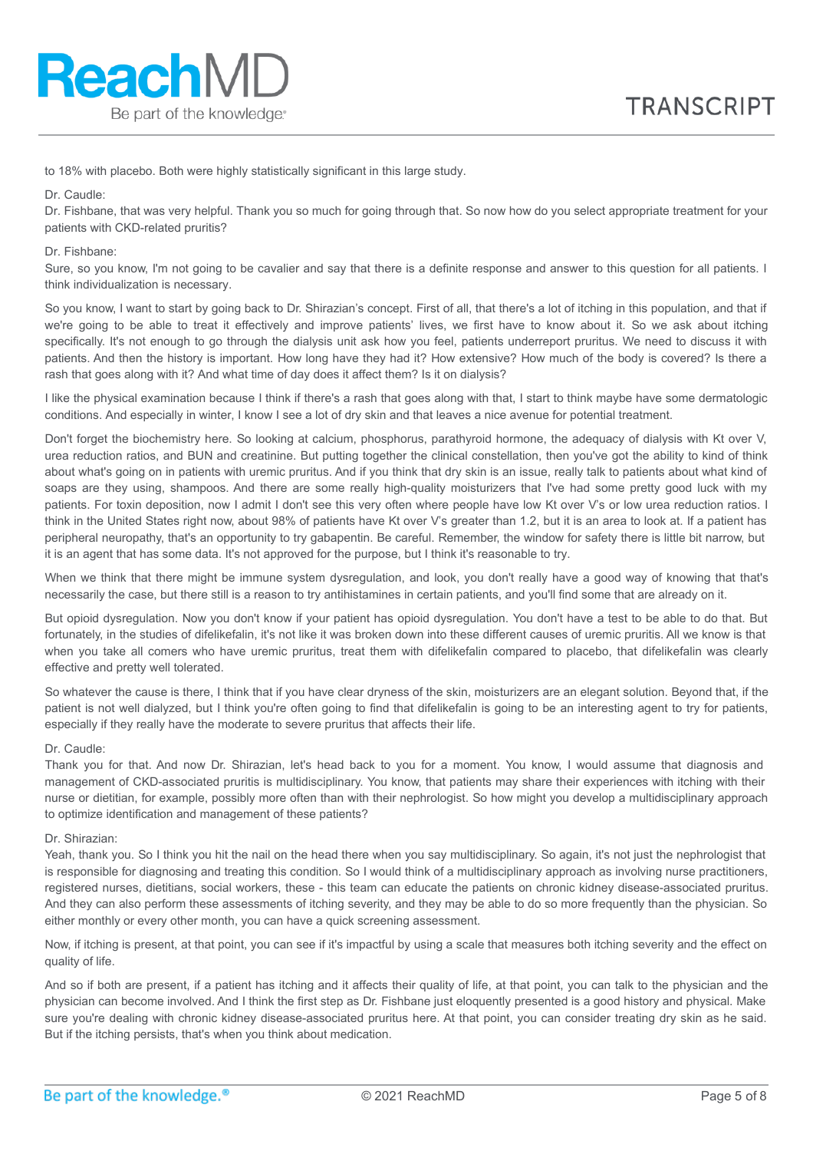to 18% with placebo. Both were highly statistically significant in this large study.

Dr. Caudle:

**ReachMD** 

Be part of the knowledge.

Dr. Fishbane, that was very helpful. Thank you so much for going through that. So now how do you select appropriate treatment for your patients with CKD-related pruritis?

Dr. Fishbane:

Sure, so you know, I'm not going to be cavalier and say that there is a definite response and answer to this question for all patients. I think individualization is necessary.

So you know, I want to start by going back to Dr. Shirazian's concept. First of all, that there's a lot of itching in this population, and that if we're going to be able to treat it effectively and improve patients' lives, we first have to know about it. So we ask about itching specifically. It's not enough to go through the dialysis unit ask how you feel, patients underreport pruritus. We need to discuss it with patients. And then the history is important. How long have they had it? How extensive? How much of the body is covered? Is there a rash that goes along with it? And what time of day does it affect them? Is it on dialysis?

I like the physical examination because I think if there's a rash that goes along with that, I start to think maybe have some dermatologic conditions. And especially in winter, I know I see a lot of dry skin and that leaves a nice avenue for potential treatment.

Don't forget the biochemistry here. So looking at calcium, phosphorus, parathyroid hormone, the adequacy of dialysis with Kt over V, urea reduction ratios, and BUN and creatinine. But putting together the clinical constellation, then you've got the ability to kind of think about what's going on in patients with uremic pruritus. And if you think that dry skin is an issue, really talk to patients about what kind of soaps are they using, shampoos. And there are some really high-quality moisturizers that I've had some pretty good luck with my patients. For toxin deposition, now I admit I don't see this very often where people have low Kt over V's or low urea reduction ratios. I think in the United States right now, about 98% of patients have Kt over V's greater than 1.2, but it is an area to look at. If a patient has peripheral neuropathy, that's an opportunity to try gabapentin. Be careful. Remember, the window for safety there is little bit narrow, but it is an agent that has some data. It's not approved for the purpose, but I think it's reasonable to try.

When we think that there might be immune system dysregulation, and look, you don't really have a good way of knowing that that's necessarily the case, but there still is a reason to try antihistamines in certain patients, and you'll find some that are already on it.

But opioid dysregulation. Now you don't know if your patient has opioid dysregulation. You don't have a test to be able to do that. But fortunately, in the studies of difelikefalin, it's not like it was broken down into these different causes of uremic pruritis. All we know is that when you take all comers who have uremic pruritus, treat them with difelikefalin compared to placebo, that difelikefalin was clearly effective and pretty well tolerated.

So whatever the cause is there, I think that if you have clear dryness of the skin, moisturizers are an elegant solution. Beyond that, if the patient is not well dialyzed, but I think you're often going to find that difelikefalin is going to be an interesting agent to try for patients, especially if they really have the moderate to severe pruritus that affects their life.

# Dr. Caudle:

Thank you for that. And now Dr. Shirazian, let's head back to you for a moment. You know, I would assume that diagnosis and management of CKD-associated pruritis is multidisciplinary. You know, that patients may share their experiences with itching with their nurse or dietitian, for example, possibly more often than with their nephrologist. So how might you develop a multidisciplinary approach to optimize identification and management of these patients?

#### Dr. Shirazian:

Yeah, thank you. So I think you hit the nail on the head there when you say multidisciplinary. So again, it's not just the nephrologist that is responsible for diagnosing and treating this condition. So I would think of a multidisciplinary approach as involving nurse practitioners, registered nurses, dietitians, social workers, these - this team can educate the patients on chronic kidney disease-associated pruritus. And they can also perform these assessments of itching severity, and they may be able to do so more frequently than the physician. So either monthly or every other month, you can have a quick screening assessment.

Now, if itching is present, at that point, you can see if it's impactful by using a scale that measures both itching severity and the effect on quality of life.

And so if both are present, if a patient has itching and it affects their quality of life, at that point, you can talk to the physician and the physician can become involved. And I think the first step as Dr. Fishbane just eloquently presented is a good history and physical. Make sure you're dealing with chronic kidney disease-associated pruritus here. At that point, you can consider treating dry skin as he said. But if the itching persists, that's when you think about medication.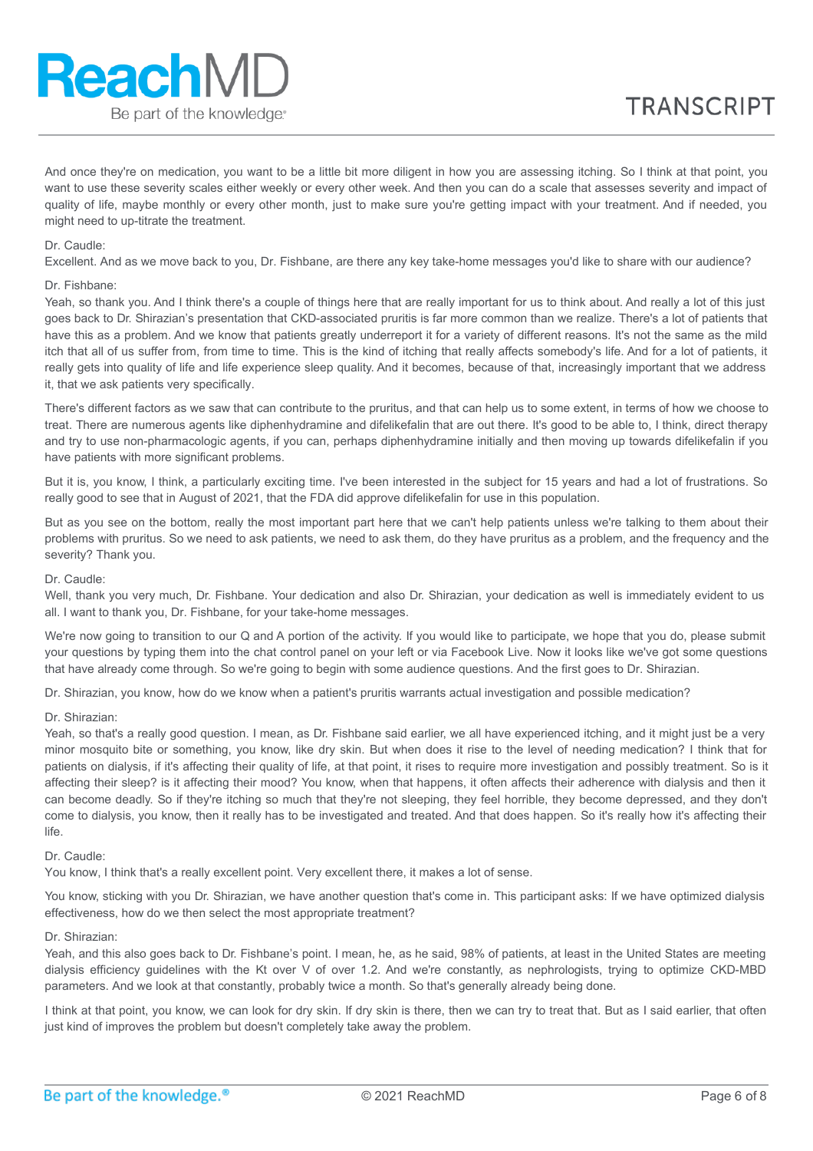And once they're on medication, you want to be a little bit more diligent in how you are assessing itching. So I think at that point, you want to use these severity scales either weekly or every other week. And then you can do a scale that assesses severity and impact of quality of life, maybe monthly or every other month, just to make sure you're getting impact with your treatment. And if needed, you might need to up-titrate the treatment.

# Dr. Caudle:

Excellent. And as we move back to you, Dr. Fishbane, are there any key take-home messages you'd like to share with our audience?

# Dr. Fishbane:

Yeah, so thank you. And I think there's a couple of things here that are really important for us to think about. And really a lot of this just goes back to Dr. Shirazian's presentation that CKD-associated pruritis is far more common than we realize. There's a lot of patients that have this as a problem. And we know that patients greatly underreport it for a variety of different reasons. It's not the same as the mild itch that all of us suffer from, from time to time. This is the kind of itching that really affects somebody's life. And for a lot of patients, it really gets into quality of life and life experience sleep quality. And it becomes, because of that, increasingly important that we address it, that we ask patients very specifically.

There's different factors as we saw that can contribute to the pruritus, and that can help us to some extent, in terms of how we choose to treat. There are numerous agents like diphenhydramine and difelikefalin that are out there. It's good to be able to, I think, direct therapy and try to use non-pharmacologic agents, if you can, perhaps diphenhydramine initially and then moving up towards difelikefalin if you have patients with more significant problems.

But it is, you know, I think, a particularly exciting time. I've been interested in the subject for 15 years and had a lot of frustrations. So really good to see that in August of 2021, that the FDA did approve difelikefalin for use in this population.

But as you see on the bottom, really the most important part here that we can't help patients unless we're talking to them about their problems with pruritus. So we need to ask patients, we need to ask them, do they have pruritus as a problem, and the frequency and the severity? Thank you.

# Dr. Caudle:

Well, thank you very much, Dr. Fishbane. Your dedication and also Dr. Shirazian, your dedication as well is immediately evident to us all. I want to thank you, Dr. Fishbane, for your take-home messages.

We're now going to transition to our Q and A portion of the activity. If you would like to participate, we hope that you do, please submit your questions by typing them into the chat control panel on your left or via Facebook Live. Now it looks like we've got some questions that have already come through. So we're going to begin with some audience questions. And the first goes to Dr. Shirazian.

Dr. Shirazian, you know, how do we know when a patient's pruritis warrants actual investigation and possible medication?

### Dr. Shirazian:

Yeah, so that's a really good question. I mean, as Dr. Fishbane said earlier, we all have experienced itching, and it might just be a very minor mosquito bite or something, you know, like dry skin. But when does it rise to the level of needing medication? I think that for patients on dialysis, if it's affecting their quality of life, at that point, it rises to require more investigation and possibly treatment. So is it affecting their sleep? is it affecting their mood? You know, when that happens, it often affects their adherence with dialysis and then it can become deadly. So if they're itching so much that they're not sleeping, they feel horrible, they become depressed, and they don't come to dialysis, you know, then it really has to be investigated and treated. And that does happen. So it's really how it's affecting their life.

# Dr. Caudle:

You know, I think that's a really excellent point. Very excellent there, it makes a lot of sense.

You know, sticking with you Dr. Shirazian, we have another question that's come in. This participant asks: If we have optimized dialysis effectiveness, how do we then select the most appropriate treatment?

# Dr. Shirazian:

Yeah, and this also goes back to Dr. Fishbane's point. I mean, he, as he said, 98% of patients, at least in the United States are meeting dialysis efficiency guidelines with the Kt over V of over 1.2. And we're constantly, as nephrologists, trying to optimize CKD-MBD parameters. And we look at that constantly, probably twice a month. So that's generally already being done.

I think at that point, you know, we can look for dry skin. If dry skin is there, then we can try to treat that. But as I said earlier, that often just kind of improves the problem but doesn't completely take away the problem.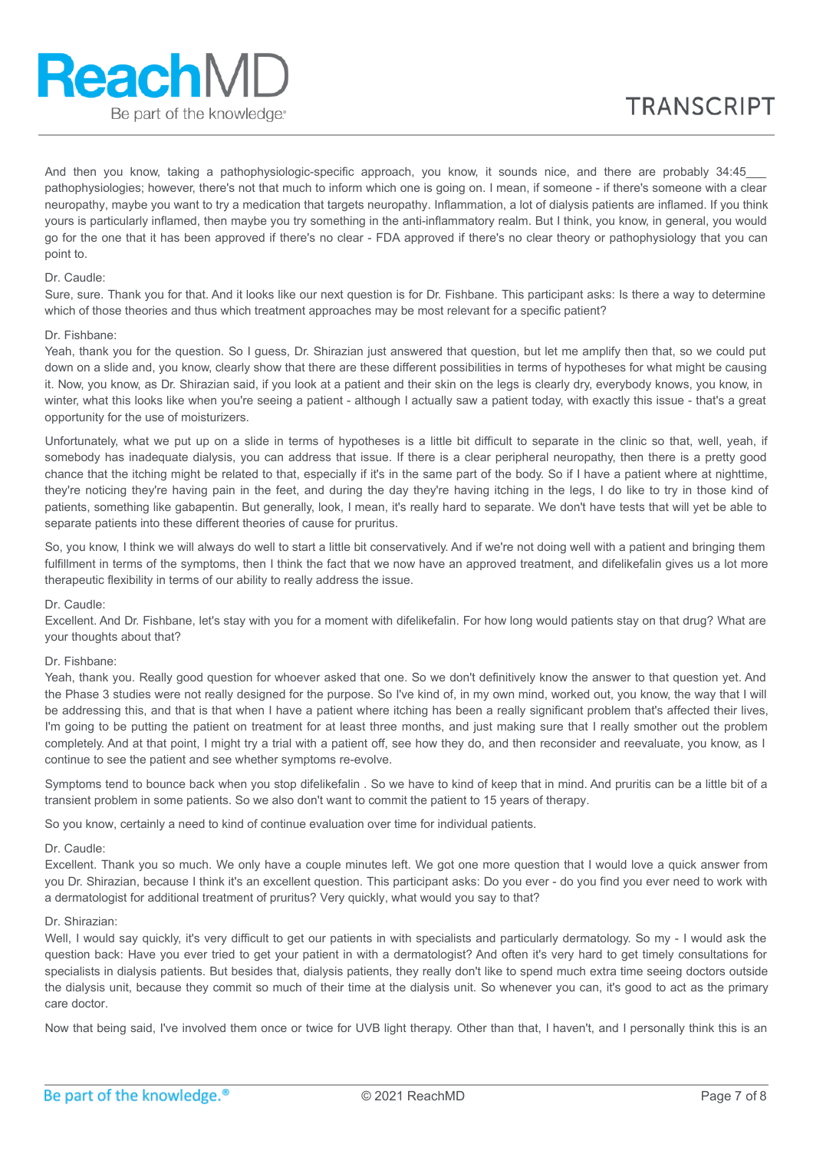And then you know, taking a pathophysiologic-specific approach, you know, it sounds nice, and there are probably 34:45\_ pathophysiologies; however, there's not that much to inform which one is going on. I mean, if someone - if there's someone with a clear neuropathy, maybe you want to try a medication that targets neuropathy. Inflammation, a lot of dialysis patients are inflamed. If you think yours is particularly inflamed, then maybe you try something in the anti-inflammatory realm. But I think, you know, in general, you would go for the one that it has been approved if there's no clear - FDA approved if there's no clear theory or pathophysiology that you can point to.

# Dr. Caudle:

Sure, sure. Thank you for that. And it looks like our next question is for Dr. Fishbane. This participant asks: Is there a way to determine which of those theories and thus which treatment approaches may be most relevant for a specific patient?

#### Dr. Fishbane:

Yeah, thank you for the question. So I guess, Dr. Shirazian just answered that question, but let me amplify then that, so we could put down on a slide and, you know, clearly show that there are these different possibilities in terms of hypotheses for what might be causing it. Now, you know, as Dr. Shirazian said, if you look at a patient and their skin on the legs is clearly dry, everybody knows, you know, in winter, what this looks like when you're seeing a patient - although I actually saw a patient today, with exactly this issue - that's a great opportunity for the use of moisturizers.

Unfortunately, what we put up on a slide in terms of hypotheses is a little bit difficult to separate in the clinic so that, well, yeah, if somebody has inadequate dialysis, you can address that issue. If there is a clear peripheral neuropathy, then there is a pretty good chance that the itching might be related to that, especially if it's in the same part of the body. So if I have a patient where at nighttime, they're noticing they're having pain in the feet, and during the day they're having itching in the legs, I do like to try in those kind of patients, something like gabapentin. But generally, look, I mean, it's really hard to separate. We don't have tests that will yet be able to separate patients into these different theories of cause for pruritus.

So, you know, I think we will always do well to start a little bit conservatively. And if we're not doing well with a patient and bringing them fulfillment in terms of the symptoms, then I think the fact that we now have an approved treatment, and difelikefalin gives us a lot more therapeutic flexibility in terms of our ability to really address the issue.

### Dr. Caudle:

Excellent. And Dr. Fishbane, let's stay with you for a moment with difelikefalin. For how long would patients stay on that drug? What are your thoughts about that?

# Dr. Fishbane:

Yeah, thank you. Really good question for whoever asked that one. So we don't definitively know the answer to that question yet. And the Phase 3 studies were not really designed for the purpose. So I've kind of, in my own mind, worked out, you know, the way that I will be addressing this, and that is that when I have a patient where itching has been a really significant problem that's affected their lives, I'm going to be putting the patient on treatment for at least three months, and just making sure that I really smother out the problem completely. And at that point, I might try a trial with a patient off, see how they do, and then reconsider and reevaluate, you know, as I continue to see the patient and see whether symptoms re-evolve.

Symptoms tend to bounce back when you stop difelikefalin . So we have to kind of keep that in mind. And pruritis can be a little bit of a transient problem in some patients. So we also don't want to commit the patient to 15 years of therapy.

So you know, certainly a need to kind of continue evaluation over time for individual patients.

#### Dr. Caudle:

Excellent. Thank you so much. We only have a couple minutes left. We got one more question that I would love a quick answer from you Dr. Shirazian, because I think it's an excellent question. This participant asks: Do you ever - do you find you ever need to work with a dermatologist for additional treatment of pruritus? Very quickly, what would you say to that?

### Dr. Shirazian:

Well, I would say quickly, it's very difficult to get our patients in with specialists and particularly dermatology. So my - I would ask the question back: Have you ever tried to get your patient in with a dermatologist? And often it's very hard to get timely consultations for specialists in dialysis patients. But besides that, dialysis patients, they really don't like to spend much extra time seeing doctors outside the dialysis unit, because they commit so much of their time at the dialysis unit. So whenever you can, it's good to act as the primary care doctor.

Now that being said, I've involved them once or twice for UVB light therapy. Other than that, I haven't, and I personally think this is an